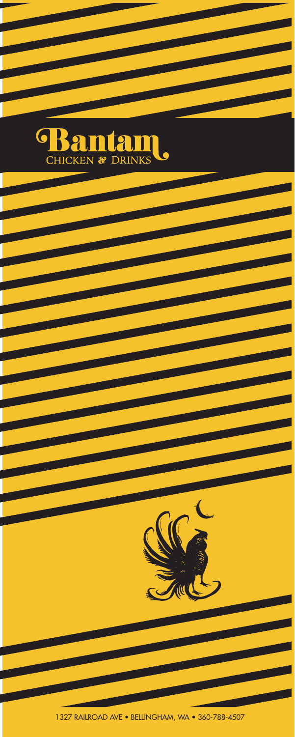

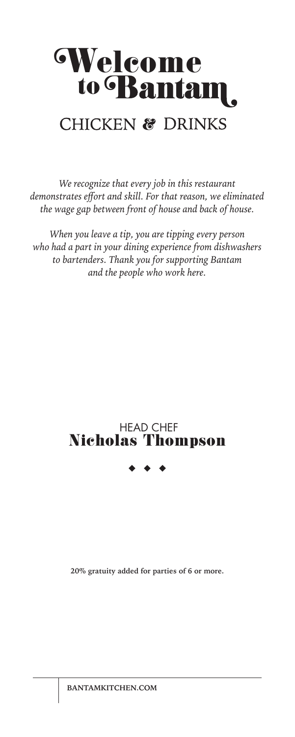# Welcome to Bantam. **CHICKEN & DRINKS**

*We recognize that every job in this restaurant demonstrates effort and skill. For that reason, we eliminated the wage gap between front of house and back of house.*

*When you leave a tip, you are tipping every person who had a part in your dining experience from dishwashers to bartenders. Thank you for supporting Bantam and the people who work here.*

### HEAD CHEF Nicholas Thompson

**20% gratuity added for parties of 6 or more.**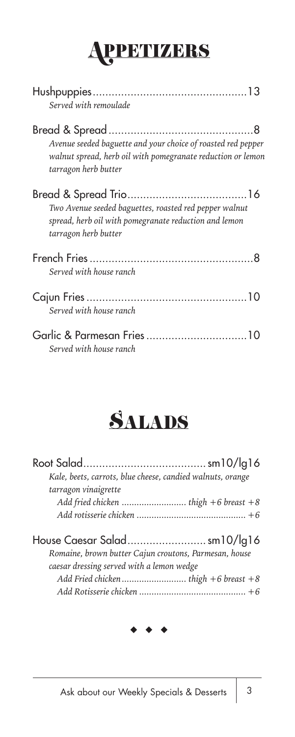# APPETIZERS

| Served with remoulade                                                                                                                               |
|-----------------------------------------------------------------------------------------------------------------------------------------------------|
| Avenue seeded baguette and your choice of roasted red pepper<br>walnut spread, herb oil with pomegranate reduction or lemon<br>tarragon herb butter |
| Two Avenue seeded baguettes, roasted red pepper walnut<br>spread, herb oil with pomegranate reduction and lemon<br>tarragon herb butter             |
| Served with house ranch                                                                                                                             |
| Served with house ranch                                                                                                                             |
| Served with house ranch                                                                                                                             |



| Kale, beets, carrots, blue cheese, candied walnuts, orange |  |
|------------------------------------------------------------|--|
| tarragon vinaigrette                                       |  |
|                                                            |  |
|                                                            |  |
|                                                            |  |
| House Caesar Saladsm10/lg16                                |  |
| Romaine, brown butter Cajun croutons, Parmesan, house      |  |
| caesar dressing served with a lemon wedge                  |  |
|                                                            |  |

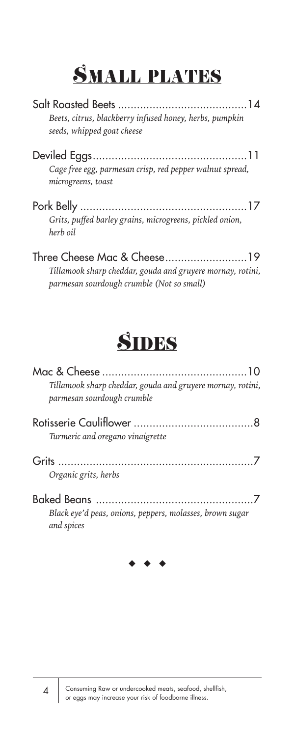## SMALL PLATES

| Beets, citrus, blackberry infused honey, herbs, pumpkin<br>seeds, whipped goat cheese                                                  |
|----------------------------------------------------------------------------------------------------------------------------------------|
| Cage free egg, parmesan crisp, red pepper walnut spread,<br>microgreens, toast                                                         |
| Grits, puffed barley grains, microgreens, pickled onion,<br>herb oil                                                                   |
| Three Cheese Mac & Cheese19<br>Tillamook sharp cheddar, gouda and gruyere mornay, rotini,<br>parmesan sourdough crumble (Not so small) |

## **SIDES**

| Tillamook sharp cheddar, gouda and gruyere mornay, rotini,<br>parmesan sourdough crumble |  |
|------------------------------------------------------------------------------------------|--|
| Turmeric and oregano vinaigrette                                                         |  |
| Organic grits, herbs                                                                     |  |
| Black eye'd peas, onions, peppers, molasses, brown sugar<br>and spices                   |  |

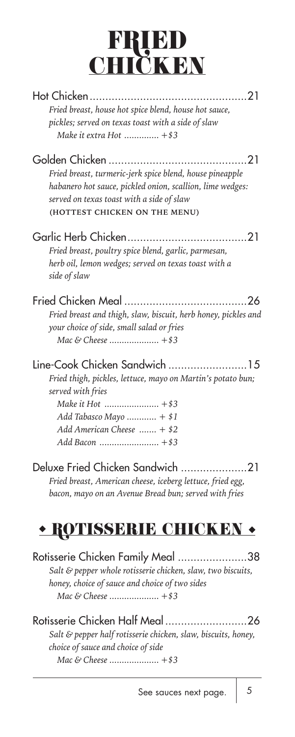## FRIED **CHIČKEN**

| Fried breast, house hot spice blend, house hot sauce,                                                                                                                                                                         |
|-------------------------------------------------------------------------------------------------------------------------------------------------------------------------------------------------------------------------------|
| pickles; served on texas toast with a side of slaw<br>Make it extra Hot  +\$3                                                                                                                                                 |
| Golden Chicken<br>. 21<br>Fried breast, turmeric-jerk spice blend, house pineapple<br>habanero hot sauce, pickled onion, scallion, lime wedges:<br>served on texas toast with a side of slaw<br>(HOTTEST CHICKEN ON THE MENU) |
| Fried breast, poultry spice blend, garlic, parmesan,<br>herb oil, lemon wedges; served on texas toast with a<br>side of slaw                                                                                                  |
| Fried breast and thigh, slaw, biscuit, herb honey, pickles and<br>your choice of side, small salad or fries                                                                                                                   |
| Line-Cook Chicken Sandwich 15<br>Fried thigh, pickles, lettuce, mayo on Martin's potato bun;<br>served with fries<br>Add Tabasco Mayo  + \$1<br>Add American Cheese $+$ \$2                                                   |
| Deluxe Fried Chicken Sandwich 21<br>Fried breast, American cheese, iceberg lettuce, fried egg,<br>bacon, mayo on an Avenue Bread bun; served with fries                                                                       |
| <b>* ROTISSERIE CHICKEN *</b>                                                                                                                                                                                                 |
| Rotisserie Chicken Family Meal 38<br>Salt & pepper whole rotisserie chicken, slaw, two biscuits,<br>honey, choice of sauce and choice of two sides                                                                            |
| Rotisserie Chicken Half Meal<br>26<br>Salt & pepper half rotisserie chicken, slaw, biscuits, honey,<br>choice of sauce and choice of side                                                                                     |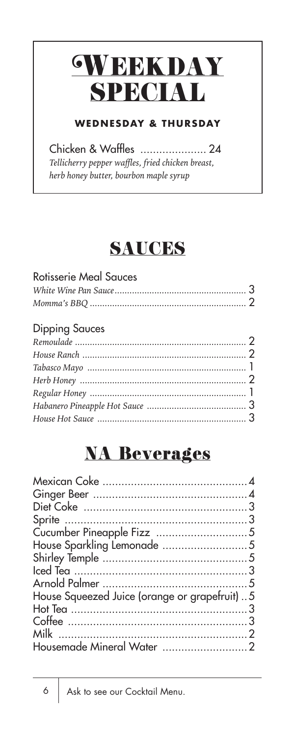# **GWEEKDAY** SPECIAL

### **WEDNESDAY & THURSDAY**

Chicken & Waffles ..................... 24 *Tellicherry pepper waffles, fried chicken breast, herb honey butter, bourbon maple syrup* 

### SAUCES

| <b>Rotisserie Meal Sauces</b> |  |
|-------------------------------|--|
|                               |  |
|                               |  |
|                               |  |

### Dipping Sauces

### **NA Beverages**

| House Squeezed Juice (orange or grapefruit) 5 |  |
|-----------------------------------------------|--|
|                                               |  |
|                                               |  |
|                                               |  |
|                                               |  |
|                                               |  |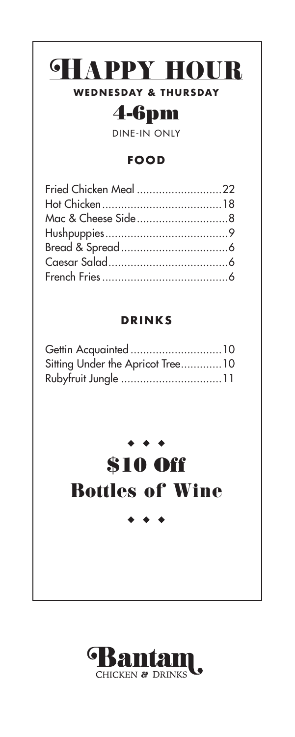## *SHAPPY HOUR*

#### **WEDNESDAY & THURSDAY**

### 4-6pm

DINE-IN ONLY

#### **FOOD**

| Fried Chicken Meal 22 |  |
|-----------------------|--|
|                       |  |
|                       |  |
|                       |  |
|                       |  |
|                       |  |
|                       |  |

#### **DRINKS**

| Gettin Acquainted10              |  |
|----------------------------------|--|
| Sitting Under the Apricot Tree10 |  |
|                                  |  |

### $\sum_{i=1}^{n}$

## \$10 Off Bottles of Wine

### **Bantam**  $\mathbf I$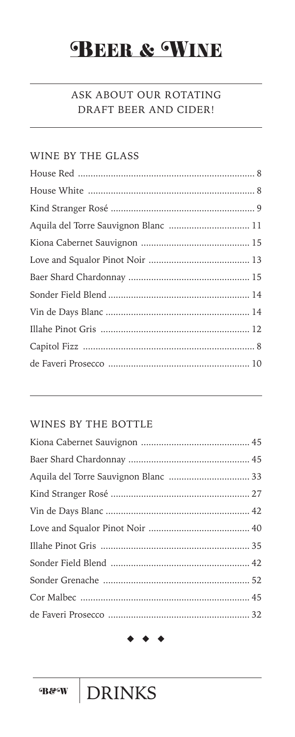### **BEER & WINE**

#### ASK ABOUT OUR ROTATING DRAFT BEER AND CIDER!

#### WINE BY THE GLASS

#### WINES BY THE BOTTLE

**DRINKS**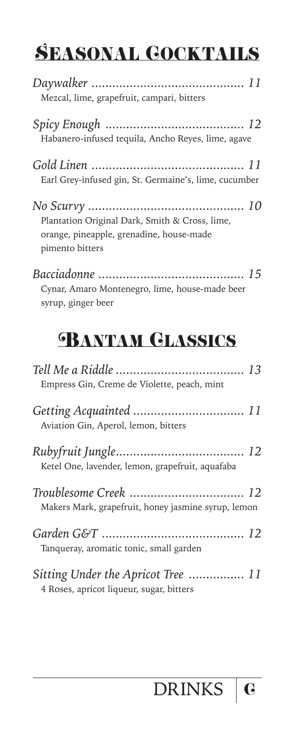## SEASONAL COCKTAILS

| Mezcal, lime, grapefruit, campari, bitters                                                                    |
|---------------------------------------------------------------------------------------------------------------|
| Habanero-infused tequila, Ancho Reyes, lime, agave                                                            |
| Earl Grey-infused gin, St. Germaine's, lime, cucumber                                                         |
| Plantation Original Dark, Smith & Cross, lime,<br>orange, pineapple, grenadine, house-made<br>pimento bitters |
|                                                                                                               |

*Bacciadonne .......................................... 15* Cynar, Amaro Montenegro, lime, house-made beer syrup, ginger beer

### **BANTAM GLASSICS**

| Empress Gin, Creme de Violette, peach, mint                                    |  |
|--------------------------------------------------------------------------------|--|
| Aviation Gin, Aperol, lemon, bitters                                           |  |
| Ketel One, lavender, lemon, grapefruit, aquafaba                               |  |
| Makers Mark, grapefruit, honey jasmine syrup, lemon                            |  |
| Tanqueray, aromatic tonic, small garden                                        |  |
| Sitting Under the Apricot Tree  11<br>4 Roses, apricot liqueur, sugar, bitters |  |